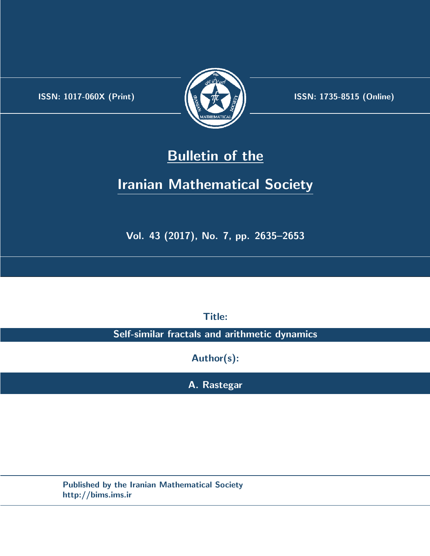.



**ISSN:** 1017-060X (Print)  $\left| \left( \frac{1}{2} \sum \frac{1}{k} \right) \right|$  **ISSN:** 1735-8515 (Online)

# **Bulletin of the**

# **Iranian Mathematical Society**

**Vol. 43 (2017), No. 7, pp. 2635–2653**

**Title:**

**Self-similar fractals and arithmetic dynamics**

**Author(s):**

**A. Rastegar**

**Published by the Iranian Mathematical Society http://bims.ims.ir**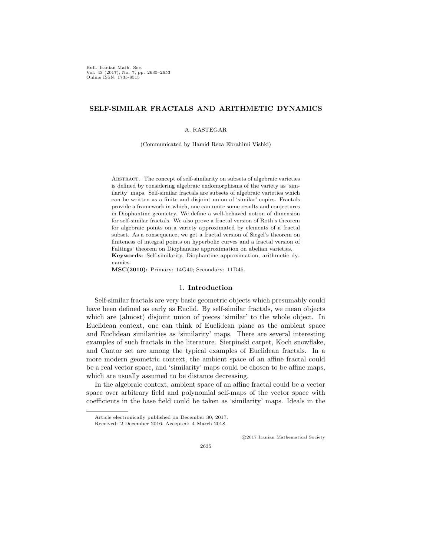Bull. Iranian Math. Soc. Vol. 43 (2017), No. 7, pp. 2635–2653 Online ISSN: 1735-8515

# **SELF-SIMILAR FRACTALS AND ARITHMETIC DYNAMICS**

## A. RASTEGAR

(Communicated by Hamid Reza Ebrahimi Vishki)

Abstract. The concept of self-similarity on subsets of algebraic varieties is defined by considering algebraic endomorphisms of the variety as 'similarity' maps. Self-similar fractals are subsets of algebraic varieties which can be written as a finite and disjoint union of 'similar' copies. Fractals provide a framework in which, one can unite some results and conjectures in Diophantine geometry. We define a well-behaved notion of dimension for self-similar fractals. We also prove a fractal version of Roth's theorem for algebraic points on a variety approximated by elements of a fractal subset. As a consequence, we get a fractal version of Siegel's theorem on finiteness of integral points on hyperbolic curves and a fractal version of Faltings' theorem on Diophantine approximation on abelian varieties. **Keywords:** Self-similarity, Diophantine approximation, arithmetic dynamics.

**MSC(2010):** Primary: 14G40; Secondary: 11D45.

### 1. **Introduction**

Self-similar fractals are very basic geometric objects which presumably could have been defined as early as Euclid. By self-similar fractals, we mean objects which are (almost) disjoint union of pieces 'similar' to the whole object. In Euclidean context, one can think of Euclidean plane as the ambient space and Euclidean similarities as 'similarity' maps. There are several interesting examples of such fractals in the literature. Sierpinski carpet, Koch snowflake, and Cantor set are among the typical examples of Euclidean fractals. In a more modern geometric context, the ambient space of an affine fractal could be a real vector space, and 'similarity' maps could be chosen to be affine maps, which are usually assumed to be distance decreasing.

In the algebraic context, ambient space of an affine fractal could be a vector space over arbitrary field and polynomial self-maps of the vector space with coefficients in the base field could be taken as 'similarity' maps. Ideals in the

*⃝*c 2017 Iranian Mathematical Society

2635

Article electronically published on December 30, 2017.

Received: 2 December 2016, Accepted: 4 March 2018.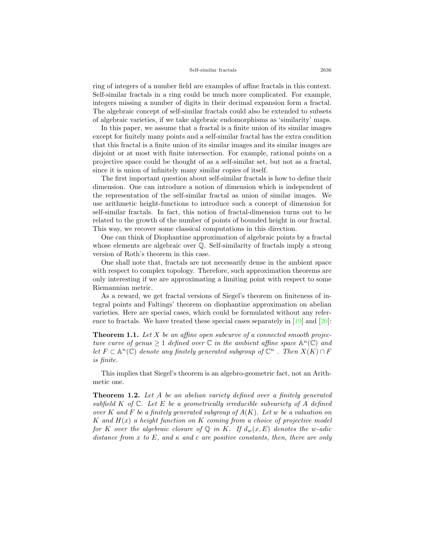#### Self-similar fractals 2636

ring of integers of a number field are examples of affine fractals in this context. Self-similar fractals in a ring could be much more complicated. For example, integers missing a number of digits in their decimal expansion form a fractal. The algebraic concept of self-similar fractals could also be extended to subsets of algebraic varieties, if we take algebraic endomorphisms as 'similarity' maps.

In this paper, we assume that a fractal is a finite union of its similar images except for finitely many points and a self-similar fractal has the extra condition that this fractal is a finite union of its similar images and its similar images are disjoint or at most with finite intersection. For example, rational points on a projective space could be thought of as a self-similar set, but not as a fractal, since it is union of infinitely many similar copies of itself.

The first important question about self-similar fractals is how to define their dimension. One can introduce a notion of dimension which is independent of the representation of the self-similar fractal as union of similar images. We use arithmetic height-functions to introduce such a concept of dimension for self-similar fractals. In fact, this notion of fractal-dimension turns out to be related to the growth of the number of points of bounded height in our fractal. This way, we recover some classical computations in this direction.

One can think of Diophantine approximation of algebraic points by a fractal whose elements are algebraic over Q. Self-similarity of fractals imply a strong version of Roth's theorem in this case.

One shall note that, fractals are not necessarily dense in the ambient space with respect to complex topology. Therefore, such approximation theorems are only interesting if we are approximating a limiting point with respect to some Riemannian metric.

As a reward, we get fractal versions of Siegel's theorem on finiteness of integral points and Faltings' theorem on diophantine approximation on abelian varieties. Here are special cases, which could be formulated without any reference to fractals. We have treated these special cases separately in[[19\]](#page-19-0) and[[20\]](#page-19-1):

**Theorem 1.1.** *Let X be an affine open subcurve of a connected smooth projectuve curve of genus*  $\geq 1$  *defined over*  $\mathbb C$  *in the ambient affine space*  $\mathbb A^n(\mathbb C)$  *and let*  $F \subset \mathbb{A}^n(\mathbb{C})$  *denote any finitely generated subgroup of*  $\mathbb{C}^n$  *. Then*  $X(K) \cap F$ *is finite.*

This implies that Siegel's theorem is an algebro-geometric fact, not an Arithmetic one.

**Theorem 1.2.** *Let A be an abelian variety defined over a finitely generated subfield K of* C*. Let E be a geometrically irreducible subvariety of A defined over K and F be a finitely generated subgroup of A*(*K*)*. Let w be a valuation on K and H*(*x*) *a height function on K coming from a choice of projective model for K over the algebraic closure of*  $\mathbb{Q}$  *in K. If*  $d_w(x, E)$  *denotes the w-adic distance from x to E, and κ and c are positive constants, then, there are only*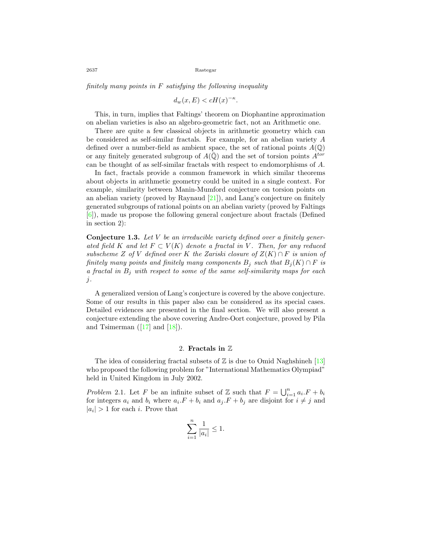*finitely many points in F satisfying the following inequality*

$$
d_w(x, E) < cH(x)^{-\kappa}.
$$

This, in turn, implies that Faltings' theorem on Diophantine approximation on abelian varieties is also an algebro-geometric fact, not an Arithmetic one.

There are quite a few classical objects in arithmetic geometry which can be considered as self-similar fractals. For example, for an abelian variety *A* defined over a number-field as ambient space, the set of rational points  $A(\mathbb{Q})$ or any finitely generated subgroup of  $A(\overline{Q})$  and the set of torsion points  $A^{tor}$ can be thought of as self-similar fractals with respect to endomorphisms of *A*.

In fact, fractals provide a common framework in which similar theorems about objects in arithmetic geometry could be united in a single context. For example, similarity between Manin-Mumford conjecture on torsion points on an abelian variety (proved by Raynaud [\[21](#page-19-2)]), and Lang's conjecture on finitely generated subgroups of rational points on an abelian variety (proved by Faltings [[6\]](#page-18-0)), made us propose the following general conjecture about fractals (Defined in section 2):

**Conjecture 1.3.** *Let V be an irreducible variety defined over a finitely generated field K* and let  $F \subset V(K)$  denote a fractal in V. Then, for any reduced *subscheme*  $Z$  *of*  $V$  *defined over*  $K$  *the Zariski closure of*  $Z(K) \cap F$  *is union of finitely many points and finitely many components*  $B_j$  *such that*  $B_j(K) \cap F$  *is a fractal in B<sup>j</sup> with respect to some of the same self-similarity maps for each j.*

A generalized version of Lang's conjecture is covered by the above conjecture. Some of our results in this paper also can be considered as its special cases. Detailed evidences are presented in the final section. We will also present a conjecture extending the above covering Andre-Oort conjecture, proved by Pila and Tsimerman  $([17]$  $([17]$  $([17]$  and  $[18]$ ).

## 2. **Fractals in** Z

The idea of considering fractal subsets of  $\mathbb Z$  is due to Omid Naghshineh [\[13](#page-18-3)] who proposed the following problem for "International Mathematics Olympiad" held in United Kingdom in July 2002.

*Problem* 2.1*.* Let *F* be an infinite subset of  $\mathbb{Z}$  such that  $F = \bigcup_{i=1}^{n} a_i F + b_i$ for integers  $a_i$  and  $b_i$  where  $a_i.F + b_i$  and  $a_j.F + b_j$  are disjoint for  $i \neq j$  and  $|a_i| > 1$  for each *i*. Prove that

$$
\sum_{i=1}^{n} \frac{1}{|a_i|} \le 1.
$$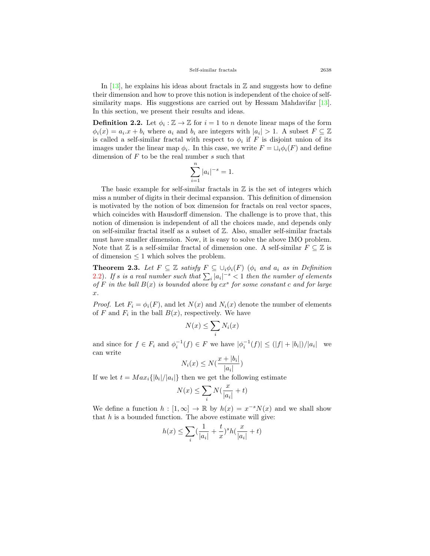In [\[13](#page-18-3)], he explains his ideas about fractals in  $\mathbb Z$  and suggests how to define their dimension and how to prove this notion is independent of the choice of self-similaritymaps. His suggestions are carried out by Hessam Mahdavifar [[13\]](#page-18-3). In this section, we present their results and ideas.

<span id="page-4-0"></span>**Definition 2.2.** Let  $\phi_i : \mathbb{Z} \to \mathbb{Z}$  for  $i = 1$  to *n* denote linear maps of the form  $\phi_i(x) = a_i \cdot x + b_i$  where  $a_i$  and  $b_i$  are integers with  $|a_i| > 1$ . A subset  $F \subseteq \mathbb{Z}$ is called a self-similar fractal with respect to  $\phi_i$  if *F* is disjoint union of its images under the linear map  $\phi_i$ . In this case, we write  $F = \sqcup_i \phi_i(F)$  and define dimension of *F* to be the real number *s* such that

$$
\sum_{i=1}^{n} |a_i|^{-s} = 1.
$$

The basic example for self-similar fractals in  $\mathbb Z$  is the set of integers which miss a number of digits in their decimal expansion. This definition of dimension is motivated by the notion of box dimension for fractals on real vector spaces, which coincides with Hausdorff dimension. The challenge is to prove that, this notion of dimension is independent of all the choices made, and depends only on self-similar fractal itself as a subset of  $\mathbb{Z}$ . Also, smaller self-similar fractals must have smaller dimension. Now, it is easy to solve the above IMO problem. Note that  $\mathbb{Z}$  is a self-similar fractal of dimension one. A self-similar  $F \subseteq \mathbb{Z}$  is of dimension  $\leq 1$  which solves the problem.

<span id="page-4-1"></span>**Theorem 2.3.** Let  $F \subseteq \mathbb{Z}$  satisfy  $F \subseteq \bigcup_i \phi_i(F)$  ( $\phi_i$  and  $a_i$  as in Definition [2.2\)](#page-4-0)*.* If *s* is a real number such that  $\sum_i |a_i|^{-s} < 1$  then the number of elements *of*  $F$  *in the ball*  $B(x)$  *is bounded above by*  $cx^s$  *for some constant*  $c$  *and for large x.*

*Proof.* Let  $F_i = \phi_i(F)$ , and let  $N(x)$  and  $N_i(x)$  denote the number of elements of *F* and  $F_i$  in the ball  $B(x)$ , respectively. We have

$$
N(x) \le \sum_i N_i(x)
$$

and since for  $f \in F_i$  and  $\phi_i^{-1}(f) \in F$  we have  $|\phi_i^{-1}(f)| \leq (|f| + |b_i|)/|a_i|$  we can write

$$
N_i(x) \le N\left(\frac{x+|b_i|}{|a_i|}\right)
$$

If we let  $t = Max_i\{|b_i|/|a_i|\}$  then we get the following estimate

$$
N(x) \le \sum_{i} N(\frac{x}{|a_i|} + t)
$$

We define a function  $h : [1, \infty] \to \mathbb{R}$  by  $h(x) = x^{-s}N(x)$  and we shall show that *h* is a bounded function. The above estimate will give:

$$
h(x)\leq \sum_i (\frac{1}{|a_i|}+\frac{t}{x})^s h(\frac{x}{|a_i|}+t)
$$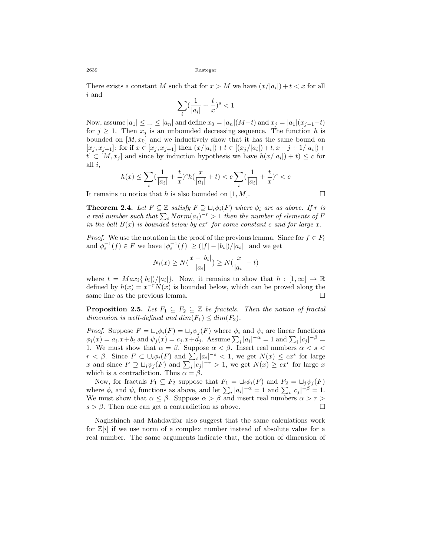There exists a constant *M* such that for  $x > M$  we have  $(x/|a_i|) + t < x$  for all *i* and

$$
\sum_i (\frac{1}{|a_i|}+\frac{t}{x})^s<1
$$

Now, assume  $|a_1| \leq ... \leq |a_n|$  and define  $x_0 = |a_n| (M - t)$  and  $x_j = |a_1| (x_{j-1} - t)$ for  $j \geq 1$ . Then  $x_j$  is an unbounded decreasing sequence. The function h is bounded on  $[M, x_0]$  and we inductively show that it has the same bound on  $[x_j, x_{j+1}]$ : for if  $x \in [x_j, x_{j+1}]$  then  $(x/|a_i|) + t \in [(x_j/|a_i|) + t, x - j + 1/|a_i|) +$  $t \in [M, x_j]$  and since by induction hypothesis we have  $h(x/|a_i|) + t \leq c$  for all *i*,

$$
h(x) \leq \sum_{i} (\frac{1}{|a_i|} + \frac{t}{x})^s h(\frac{x}{|a_i|} + t) < c \sum_{i} (\frac{1}{|a_i|} + \frac{t}{x})^s < c
$$

It remains to notice that *h* is also bounded on  $[1, M]$ .

**Theorem 2.4.** *Let*  $F \subseteq \mathbb{Z}$  *satisfy*  $F \supseteq \bigcup_i \phi_i(F)$  *where*  $\phi_i$  *are as above. If*  $r$  *is a* real number such that  $\sum_i Norm(a_i)^{-r} > 1$  then the number of elements of F *in the ball*  $B(x)$  *is bounded below by*  $cx^r$  *for some constant c and for large*  $x$ *.* 

*Proof.* We use the notation in the proof of the previous lemma. Since for  $f \in F_i$ and  $\phi_i^{-1}(f) \in F$  we have  $|\phi_i^{-1}(f)| \ge (|f| - |b_i|)/|a_i|$  and we get

$$
N_i(x) \ge N(\frac{x - |b_i|}{|a_i|}) \ge N(\frac{x}{|a_i|} - t)
$$

where  $t = Max_i\{|b_i|/|a_i|\}$ . Now, it remains to show that  $h : [1, \infty] \to \mathbb{R}$ defined by  $h(x) = x^{-r}N(x)$  is bounded below, which can be proved along the same line as the previous lemma.  $\Box$ 

<span id="page-5-0"></span>**Proposition 2.5.** *Let*  $F_1 \subseteq F_2 \subseteq \mathbb{Z}$  *be fractals. Then the notion of fractal dimension is well-defined and*  $dim(F_1) \leq dim(F_2)$ .

*Proof.* Suppose  $F = \bigcup_i \phi_i(F) = \bigcup_j \psi_j(F)$  where  $\phi_i$  and  $\psi_i$  are linear functions  $\phi_i(x) = a_i \cdot x + b_i$  and  $\psi_j(x) = c_j \cdot x + d_j$ . Assume  $\sum_i |a_i|^{-\alpha} = 1$  and  $\sum_i |c_j|^{-\beta} =$ 1. We must show that  $\alpha = \beta$ . Suppose  $\alpha < \beta$ . Insert real numbers  $\alpha < s <$ *r*  $\lt$  *β*. Since  $F \subset \bigcup_i \phi_i(F)$  and  $\sum_i |a_i|^{-s} \lt 1$ , we get  $N(x) \leq cx^s$  for large *x* and since  $F \supseteq \bigcup_i \psi_j(F)$  and  $\sum_i |c_j|^{-r} > 1$ , we get  $N(x) \geq cx^r$  for large *x* which is a contradiction. Thus  $\alpha = \beta$ .

Now, for fractals  $F_1 \subseteq F_2$  suppose that  $F_1 = \bigcup_i \phi_i(F)$  and  $F_2 = \bigcup_j \psi_j(F)$ where  $\phi_i$  and  $\psi_i$  functions as above, and let  $\sum_i |a_i|^{-\alpha} = 1$  and  $\sum_i |c_j|^{-\beta} = 1$ . We must show that  $\alpha \leq \beta$ . Suppose  $\alpha > \beta$  and insert real numbers  $\alpha > r > \beta$  $s > \beta$ . Then one can get a contradiction as above. □

Naghshineh and Mahdavifar also suggest that the same calculations work for  $\mathbb{Z}[i]$  if we use norm of a complex number instead of absolute value for a real number. The same arguments indicate that, the notion of dimension of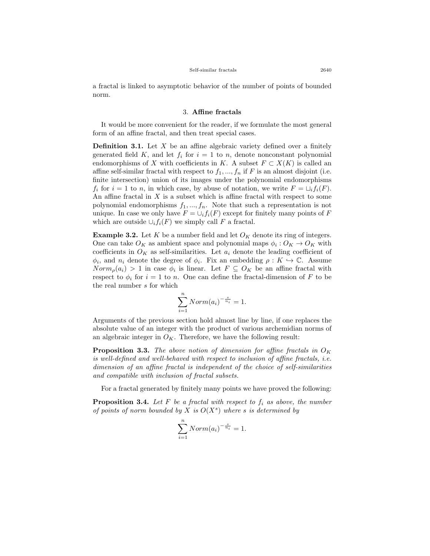a fractal is linked to asymptotic behavior of the number of points of bounded norm.

# 3. **Affine fractals**

It would be more convenient for the reader, if we formulate the most general form of an affine fractal, and then treat special cases.

**Definition 3.1.** Let *X* be an affine algebraic variety defined over a finitely generated field  $K$ , and let  $f_i$  for  $i = 1$  to  $n$ , denote nonconstant polynomial endomorphisms of *X* with coefficients in *K*. A subset  $F \subset X(K)$  is called an affine self-similar fractal with respect to  $f_1, ..., f_n$  if F is an almost disjoint (i.e. finite intersection) union of its images under the polynomial endomorphisms  $f_i$  for  $i = 1$  to *n*, in which case, by abuse of notation, we write  $F = \bigcup_i f_i(F)$ . An affine fractal in *X* is a subset which is affine fractal with respect to some polynomial endomorphisms *f*1*, ..., fn*. Note that such a representation is not unique. In case we only have  $F = \bigcup_i f_i(F)$  except for finitely many points of *F* which are outside  $\cup_i f_i(F)$  we simply call *F* a fractal.

**Example 3.2.** Let  $K$  be a number field and let  $O_K$  denote its ring of integers. One can take  $O_K$  as ambient space and polynomial maps  $\phi_i: O_K \to O_K$  with coefficients in  $O_K$  as self-similarities. Let  $a_i$  denote the leading coefficient of  $\phi_i$ , and  $n_i$  denote the degree of  $\phi_i$ . Fix an embedding  $\rho: K \hookrightarrow \mathbb{C}$ . Assume  $Norm_{\rho}(a_i) > 1$  in case  $\phi_i$  is linear. Let  $F \subseteq O_K$  be an affine fractal with respect to  $\phi_i$  for  $i = 1$  to *n*. One can define the fractal-dimension of *F* to be the real number *s* for which

$$
\sum_{i=1}^{n} Norm(a_i)^{-\frac{s}{n_i}} = 1.
$$

Arguments of the previous section hold almost line by line, if one replaces the absolute value of an integer with the product of various archemidian norms of an algebraic integer in  $O_K$ . Therefore, we have the following result:

**Proposition 3.3.** *The above notion of dimension for affine fractals in O<sup>K</sup> is well-defined and well-behaved with respect to inclusion of affine fractals, i.e. dimension of an affine fractal is independent of the choice of self-similarities and compatible with inclusion of fractal subsets.*

For a fractal generated by finitely many points we have proved the following:

**Proposition 3.4.** *Let F be a fractal with respect to f<sup>i</sup> as above, the number of points of norm bounded by X is O*(*X<sup>s</sup>* ) *where s is determined by*

$$
\sum_{i=1}^{n} Norm(a_i)^{-\frac{s}{n_i}} = 1.
$$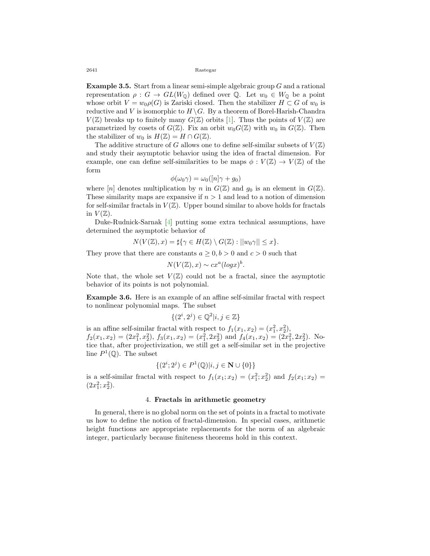**Example 3.5.** Start from a linear semi-simple algebraic group *G* and a rational representation  $\rho : G \to GL(W_{\mathbb{Q}})$  defined over  $\mathbb{Q}$ . Let  $w_0 \in W_{\mathbb{Q}}$  be a point whose orbit  $V = w_0 \rho(G)$  is Zariski closed. Then the stabilizer  $H \subset G$  of  $w_0$  is reductive and *V* is isomorphic to  $H \backslash G$ . By a theorem of Borel-Harish-Chandra  $V(\mathbb{Z})$ breaks up to finitely many  $G(\mathbb{Z})$  orbits [[1\]](#page-18-4). Thus the points of  $V(\mathbb{Z})$  are parametrized by cosets of  $G(\mathbb{Z})$ . Fix an orbit  $w_0G(\mathbb{Z})$  with  $w_0$  in  $G(\mathbb{Z})$ . Then the stabilizer of  $w_0$  is  $H(\mathbb{Z}) = H \cap G(\mathbb{Z})$ .

The additive structure of *G* allows one to define self-similar subsets of  $V(\mathbb{Z})$ and study their asymptotic behavior using the idea of fractal dimension. For example, one can define self-similarities to be maps  $\phi: V(\mathbb{Z}) \to V(\mathbb{Z})$  of the form

$$
\phi(\omega_0 \gamma) = \omega_0([n] \gamma + g_0)
$$

where  $[n]$  denotes multiplication by *n* in  $G(\mathbb{Z})$  and  $g_0$  is an element in  $G(\mathbb{Z})$ . These similarity maps are expansive if  $n > 1$  and lead to a notion of dimension for self-similar fractals in  $V(\mathbb{Z})$ . Upper bound similar to above holds for fractals in  $V(\mathbb{Z})$ .

Duke-Rudnick-Sarnak[[4\]](#page-18-5) putting some extra technical assumptions, have determined the asymptotic behavior of

$$
N(V(\mathbb{Z}),x) = \sharp \{ \gamma \in H(\mathbb{Z}) \setminus G(\mathbb{Z}) : ||w_0 \gamma|| \leq x \}.
$$

They prove that there are constants  $a \geq 0, b > 0$  and  $c > 0$  such that

$$
N(V(\mathbb{Z}), x) \sim cx^{a} (log x)^{b}.
$$

Note that, the whole set  $V(\mathbb{Z})$  could not be a fractal, since the asymptotic behavior of its points is not polynomial.

**Example 3.6.** Here is an example of an affine self-similar fractal with respect to nonlinear polynomial maps. The subset

$$
\{(2^i,2^j)\in\mathbb{Q}^2|i,j\in\mathbb{Z}\}
$$

is an affine self-similar fractal with respect to  $f_1(x_1, x_2) = (x_1^2, x_2^2)$ ,  $f_2(x_1, x_2) = (2x_1^2, x_2^2), f_3(x_1, x_2) = (x_1^2, 2x_2^2) \text{ and } f_4(x_1, x_2) = (2x_1^2, 2x_2^2).$  Notice that, after projectivization, we still get a self-similar set in the projective line  $P^1(\mathbb{Q})$ . The subset

$$
\{(2^i; 2^j) \in P^1({\mathbb Q}) | i,j \in {\bf N} \cup \{0\}\}
$$

is a self-similar fractal with respect to  $f_1(x_1; x_2) = (x_1^2; x_2^2)$  and  $f_2(x_1; x_2) =$  $(2x_1^2; x_2^2).$ 

## 4. **Fractals in arithmetic geometry**

In general, there is no global norm on the set of points in a fractal to motivate us how to define the notion of fractal-dimension. In special cases, arithmetic height functions are appropriate replacements for the norm of an algebraic integer, particularly because finiteness theorems hold in this context.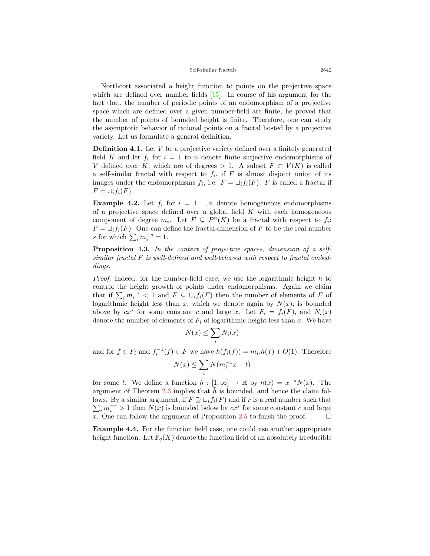Northcott associated a height function to points on the projective space whichare defined over number fields  $[15]$  $[15]$ . In course of his argument for the fact that, the number of periodic points of an endomorphism of a projective space which are defined over a given number-field are finite, he proved that the number of points of bounded height is finite. Therefore, one can study the asymptotic behavior of rational points on a fractal hosted by a projective variety. Let us formulate a general definition.

**Definition 4.1.** Let *V* be a projective variety defined over a finitely generated field *K* and let  $f_i$  for  $i = 1$  to *n* denote finite surjective endomorphisms of *V* defined over *K*, which are of degrees  $> 1$ . A subset  $F \subset V(K)$  is called a self-similar fractal with respect to  $f_i$ , if  $F$  is almost disjoint union of its images under the endomorphisms  $f_i$ , i.e.  $F = \bigcup_i f_i(F)$ . *F* is called a fractal if  $F = \cup_i f_i(F)$ 

**Example 4.2.** Let  $f_i$  for  $i = 1, ..., n$  denote homogeneous endomorphisms of a projective space defined over a global field *K* with each homogeneous component of degree  $m_i$ . Let  $F \subseteq P^n(K)$  be a fractal with respect to  $f_i$ :  $F = \bigcup_i f_i(F)$ . One can define the fractal-dimension of *F* to be the real number s for which  $\sum_{i} m_i^{-s} = 1$ .

**Proposition 4.3.** *In the context of projective spaces, dimension of a selfsimilar fractal F is well-defined and well-behaved with respect to fractal embeddings.*

*Proof.* Indeed, for the number-field case, we use the logarithmic height *h* to control the height growth of points under endomorphisms. Again we claim that if  $\sum_i m_i^{-s} < 1$  and  $F \subseteq \bigcup_i f_i(F)$  then the number of elements of *F* of logarithmic height less than  $x$ , which we denote again by  $N(x)$ , is bounded above by  $cx^s$  for some constant *c* and large *x*. Let  $F_i = f_i(F)$ , and  $N_i(x)$ denote the number of elements of *F<sup>i</sup>* of logarithmic height less than *x*. We have

$$
N(x) \le \sum_i N_i(x)
$$

and for  $f \in F_i$  and  $f_i^{-1}(f) \in F$  we have  $h(f_i(f)) = m_i \cdot h(f) + O(1)$ . Therefore

$$
N(x) \leq \sum_i N(m_i^{-1}x + t)
$$

for some *t*. We define a function  $\bar{h} : [1, \infty] \to \mathbb{R}$  by  $\bar{h}(x) = x^{-s}N(x)$ . The argument of Theorem [2.3](#page-4-1) implies that  $\bar{h}$  is bounded, and hence the claim follows. By a similar argument, if  $F \supseteq \bigcup_i f_i(F)$  and if *r* is a real number such that  $\sum_{i} m_i^{-r} > 1$  then  $N(x)$  is bounded below by  $cx^s$  for some constant *c* and large *x*. One can follow the argument of Proposition [2.5](#page-5-0) to finish the proof.  $\Box$ 

**Example 4.4.** For the function field case, one could use another appropriate height function. Let  $\bar{\mathbb{F}}_q(X)$  denote the function field of an absolutely irreducible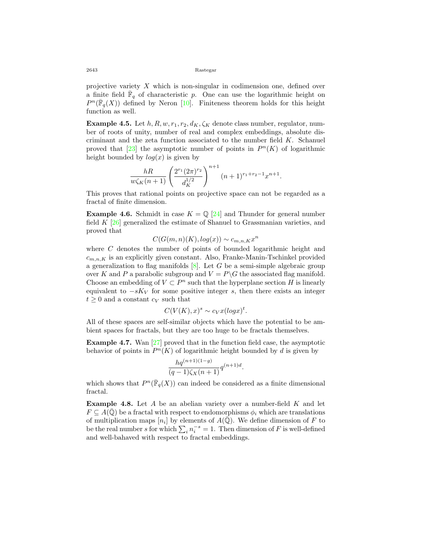projective variety *X* which is non-singular in codimension one, defined over a finite field  $\overline{\mathbb{F}}_q$  of characteristic *p*. One can use the logarithmic height on  $P^{n}(\bar{\mathbb{F}}_{q}(X))$ defined by Neron [[10](#page-18-7)]. Finiteness theorem holds for this height function as well.

**Example 4.5.** Let  $h, R, w, r_1, r_2, d_K, \zeta_K$  denote class number, regulator, number of roots of unity, number of real and complex embeddings, absolute discriminant and the zeta function associated to the number field *K*. Schanuel provedthat  $[23]$  $[23]$  the asymptotic number of points in  $P<sup>n</sup>(K)$  of logarithmic height bounded by  $log(x)$  is given by

$$
\frac{hR}{w\zeta_K(n+1)}\left(\frac{2^{r_1}(2\pi)^{r_2}}{d_K^{1/2}}\right)^{n+1}(n+1)^{r_1+r_2-1}x^{n+1}.
$$

This proves that rational points on projective space can not be regarded as a fractal of finite dimension.

**Example 4.6.** Schmidt in case  $K = \mathbb{Q}$  [\[24](#page-19-4)] and Thunder for general number field *K* [[26\]](#page-19-5) generalized the estimate of Shanuel to Grassmanian varieties, and proved that

 $C(G(m, n)(K), log(x)) \sim c_{m,n,K} x^n$ 

where *C* denotes the number of points of bounded logarithmic height and  $c_{m,n,K}$  is an explicitly given constant. Also, Franke-Manin-Tschinkel provided ageneralization to flag manifolds  $[8]$  $[8]$ . Let *G* be a semi-simple algebraic group over *K* and *P* a parabolic subgroup and  $V = P \ G$  the associated flag manifold. Choose an embedding of  $V \subset P^n$  such that the hyperplane section *H* is linearly equivalent to  $-sK_V$  for some positive integer *s*, then there exists an integer  $t \geq 0$  and a constant  $c_V$  such that

$$
C(V(K),x)^s \sim c_V x(logx)^t.
$$

All of these spaces are self-similar objects which have the potential to be ambient spaces for fractals, but they are too huge to be fractals themselves.

**Example 4.7.** Wan [\[27\]](#page-19-6) proved that in the function field case, the asymptotic behavior of points in  $P^n(K)$  of logarithmic height bounded by *d* is given by

$$
\frac{hq^{(n+1)(1-g)}}{(q-1)\zeta_X(n+1)}q^{(n+1)d}
$$

*.*

which shows that  $P^n(\bar{\mathbb{F}}_q(X))$  can indeed be considered as a finite dimensional fractal.

**Example 4.8.** Let *A* be an abelian variety over a number-field *K* and let  $F \subseteq A(\overline{Q})$  be a fractal with respect to endomorphisms  $\phi_i$  which are translations of multiplication maps  $[n_i]$  by elements of  $A(\overline{\mathbb{Q}})$ . We define dimension of *F* to be the real number *s* for which  $\sum_i n_i^{-s} = 1$ . Then dimension of *F* is well-defined and well-bahaved with respect to fractal embeddings.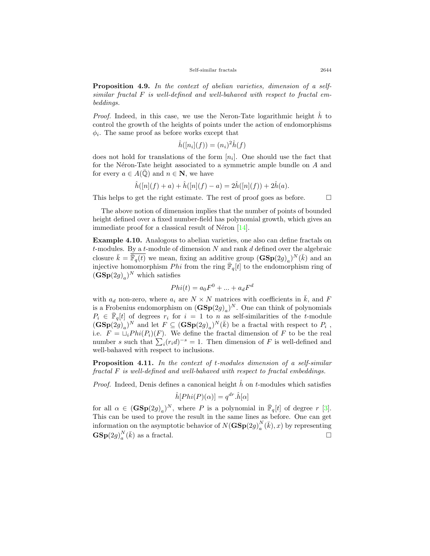**Proposition 4.9.** *In the context of abelian varieties, dimension of a selfsimilar fractal F is well-defined and well-bahaved with respect to fractal embeddings.*

*Proof.* Indeed, in this case, we use the Neron-Tate logarithmic height  $\hat{h}$  to control the growth of the heights of points under the action of endomorphisms  $\phi_i$ . The same proof as before works except that

$$
\hat{h}([n_i](f)) = (n_i)^2 \hat{h}(f)
$$

does not hold for translations of the form  $[n_i]$ . One should use the fact that for the Néron-Tate height associated to a symmetric ample bundle on *A* and for every  $a \in A(\mathbb{Q})$  and  $n \in \mathbb{N}$ , we have

$$
\hat{h}([n](f) + a) + \hat{h}([n](f) - a) = 2\hat{h}([n](f)) + 2\hat{h}(a).
$$

This helps to get the right estimate. The rest of proof goes as before.  $\Box$ 

The above notion of dimension implies that the number of points of bounded height defined over a fixed number-field has polynomial growth, which gives an immediate proof for a classical result of Néron  $[14]$ .

**Example 4.10.** Analogous to abelian varieties, one also can define fractals on *t*-modules. By a *t*-module of dimension *N* and rank *d* defined over the algebraic closure  $\bar{k} = \overline{\mathbb{F}_q(t)}$  we mean, fixing an additive group  $(\mathbf{GSp}(2g)_a)^N(\bar{k})$  and an injective homomorphism  $Phi$  from the ring  $\bar{\mathbb{F}}_q[t]$  to the endomorphism ring of  $(\mathbf{GSp}(2g)_a)^N$  which satisfies

$$
Phi(t) = a_0 F^0 + \dots + a_d F^d
$$

with  $a_d$  non-zero, where  $a_i$  are  $N \times N$  matrices with coefficients in  $\overline{k}$ , and  $F$ is a Frobenius endomorphism on  $(\mathbf{GSp}(2g)_a)^N$ . One can think of polynomials  $P_i \in \mathbb{F}_q[t]$  of degrees  $r_i$  for  $i = 1$  to *n* as self-similarities of the *t*-module  $(\mathbf{GSp}(2g))_a$ <sup>N</sup> and let  $F \subseteq (\mathbf{GSp}(2g)_a)^N(\bar{k})$  be a fractal with respect to  $P_i$ , i.e.  $F = \bigcup_i Phi(P_i)(F)$ . We define the fractal dimension of *F* to be the real number *s* such that  $\sum_{i} (r_i d)^{-s} = 1$ . Then dimension of *F* is well-defined and well-bahaved with respect to inclusions.

**Proposition 4.11.** *In the context of t-modules dimension of a self-similar fractal F is well-defined and well-bahaved with respect to fractal embeddings.*

*Proof.* Indeed, Denis defines a canonical height  $\hat{h}$  on  $t$ -modules which satisfies

$$
\hat{h}[Phi(P)(\alpha)] = q^{dr}.\hat{h}[\alpha]
$$

for all  $\alpha \in (\mathbf{GSp}(2g)_a)^N$ , where *P* is a polynomial in  $\overline{\mathbb{F}}_q[t]$  of degree *r* [[3\]](#page-18-10). This can be used to prove the result in the same lines as before. One can get information on the asymptotic behavior of  $N(\mathbf{GSp}(2g))_{a}^{N}$  $a_a^N(\bar{k}), x$  by representing  $\mathbf{GSp}(2g)^N_a$  $a^{N}(\bar{k})$  as a fractal. □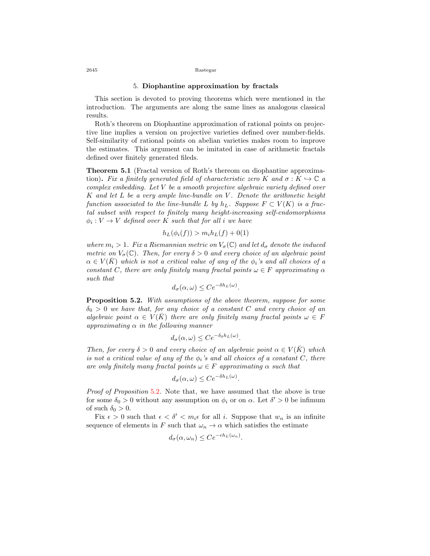## 5. **Diophantine approximation by fractals**

This section is devoted to proving theorems which were mentioned in the introduction. The arguments are along the same lines as analogous classical results.

Roth's theorem on Diophantine approximation of rational points on projective line implies a version on projective varieties defined over number-fields. Self-similarity of rational points on abelian varieties makes room to improve the estimates. This argument can be imitated in case of arithmetic fractals defined over finitely generated fileds.

<span id="page-11-1"></span>**Theorem 5.1** (Fractal version of Roth's thereom on diophantine approximation). Fix a finitely generated field of characteristic zero K and  $\sigma : K \hookrightarrow \mathbb{C}$  a *complex embedding. Let V be a smooth projective algebraic variety defined over K and let L be a very ample line-bundle on V . Denote the arithmetic height function associated to the line-bundle L by*  $h<sub>L</sub>$ *. Suppose*  $F \subset V(K)$  *is a fractal subset with respect to finitely many height-increasing self-endomorphisms*  $\phi_i: V \to V$  *defined over K such that for all i we have* 

$$
h_L(\phi_i(f)) > m_i h_L(f) + 0(1)
$$

*where*  $m_i > 1$ *. Fix a Riemannian metric on*  $V_{\sigma}(\mathbb{C})$  *and let*  $d_{\sigma}$  *denote the induced metric on*  $V_{\sigma}(\mathbb{C})$ *. Then, for every*  $\delta > 0$  *and every choice of an algebraic point*  $\alpha \in V(\overline{K})$  *which is not a critical value of any of the*  $\phi_i$ *'s and all choices of a constant C, there are only finitely many fractal points*  $\omega \in F$  *approximating*  $\alpha$ *such that*

$$
d_{\sigma}(\alpha,\omega) \le Ce^{-\delta h_L(\omega)}.
$$

<span id="page-11-0"></span>**Proposition 5.2.** *With assumptions of the above theorem, suppose for some δ*<sup>0</sup> *>* 0 *we have that, for any choice of a constant C and every choice of an algebraic point*  $\alpha \in V(\overline{K})$  *there are only finitely many fractal points*  $\omega \in F$ *approximating α in the following manner*

$$
d_{\sigma}(\alpha,\omega) \le Ce^{-\delta_0 h_L(\omega)}.
$$

*Then, for every*  $\delta > 0$  *and every choice of an algebraic point*  $\alpha \in V(\overline{K})$  *which is not a critical value of any of the*  $\phi_i$ 's and all choices of a constant C, there *are only finitely many fractal points*  $\omega \in F$  *approximating*  $\alpha$  *such that* 

$$
d_{\sigma}(\alpha,\omega) \leq Ce^{-\delta h_L(\omega)}.
$$

*Proof of Proposition* [5.2](#page-11-0)*.* Note that, we have assumed that the above is true for some  $\delta_0 > 0$  without any assumption on  $\phi_i$  or on  $\alpha$ . Let  $\delta' > 0$  be infimum of such  $\delta_0 > 0$ .

Fix  $\epsilon > 0$  such that  $\epsilon < \delta' < m_i \epsilon$  for all *i*. Suppose that  $w_n$  is an infinite sequence of elements in *F* such that  $\omega_n \to \alpha$  which satisfies the estimate

$$
d_{\sigma}(\alpha,\omega_n) \leq Ce^{-\epsilon h_L(\omega_n)}.
$$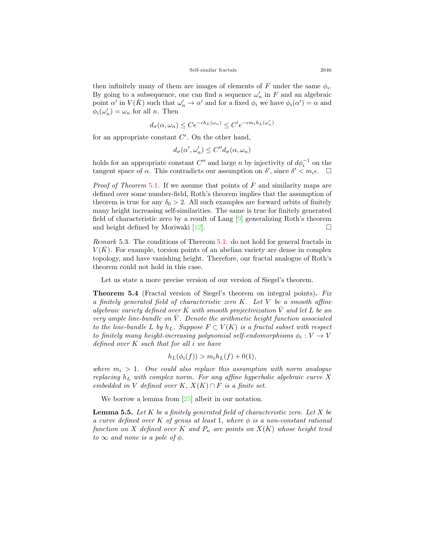then infinitely many of them are images of elements of  $F$  under the same  $\phi_i$ . By going to a subsequence, one can find a sequence  $\omega'_n$  in F and an algebraic point  $\alpha'$  in  $V(\bar{K})$  such that  $\omega'_n \to \alpha'$  and for a fixed  $\phi_i$  we have  $\phi_i(\alpha') = \alpha$  and  $\phi_i(\omega'_n) = \omega_n$  for all *n*. Then

$$
d_{\sigma}(\alpha, \omega_n) \le C e^{-\epsilon h_L(\omega_n)} \le C' e^{-\epsilon m_i h_L(\omega'_n)}
$$

for an appropriate constant *C ′* . On the other hand,

$$
d_{\sigma}(\alpha', \omega'_n) \le C'' d_{\sigma}(\alpha, \omega_n)
$$

holds for an appropriate constant  $C''$  and large *n* by injectivity of  $d\phi_i^{-1}$  on the tangent space of  $\alpha$ . This contradicts our assumption on  $\delta'$ , since  $\delta' < m_i \epsilon$ .  $\Box$ 

*Proof of Theorem* [5.1](#page-11-1)*.* If we assume that points of *F* and similarity maps are defined over some number-field, Roth's theorem implies that the assumption of theorem is true for any  $\delta_0 > 2$ . All such examples are forward orbits of finitely many height increasing self-similarities. The same is true for finitely generated field of characteristic zero by a result of Lang [\[9](#page-18-11)] generalizing Roth's theorem andheight defined by Moriwaki [[12\]](#page-18-12).  $\Box$ 

*Remark* 5.3*.* The conditions of Thereom [5.1.](#page-11-1) do not hold for general fractals in  $V(\bar{K})$ . For example, torsion points of an abelian variety are dense in complex topology, and have vanishing height. Therefore, our fractal analogue of Roth's theorem could not hold in this case.

Let us state a more precise version of our version of Siegel's theorem.

<span id="page-12-0"></span>**Theorem 5.4** (Fractal version of Siegel's theorem on integral points)**.** *Fix a finitely generated field of characteristic zero K. Let V be a smooth affine algebraic variety defined over*  $K$  *with smooth projectivization*  $\overline{V}$  *and let*  $L$  *be an very ample line-bundle on*  $\overline{V}$ . Denote the arithmetic height function associated *to the line-bundle*  $L$  *by*  $h_L$ *. Suppose*  $F \subset V(K)$  *is a fractal subset with respect to finitely many height-increasing polynomial self-endomorphisms*  $\phi_i: V \to V$ *defined over K such that for all i we have*

$$
h_L(\phi_i(f)) > m_i h_L(f) + 0(1),
$$

*where*  $m_i > 1$ . One could also replace this assumption with norm analogue *replacing h<sup>L</sup> with complex norm. For any affine hyperbolic algebraic curve X embedded in V defined over*  $K$ *,*  $X(K) \cap F$  *is a finite set.* 

Weborrow a lemma from [[25\]](#page-19-7) albeit in our notation.

**Lemma 5.5.** *Let K be a finitely generated field of characteristic zero. Let X be a curve defined over K of genus at least* 1*, where ϕ is a non-constant rational function on X defined over K and*  $P_n$  *are points on X*(*K*) *whose height tend*  $to \infty$  *and none is a pole of*  $\phi$ *.*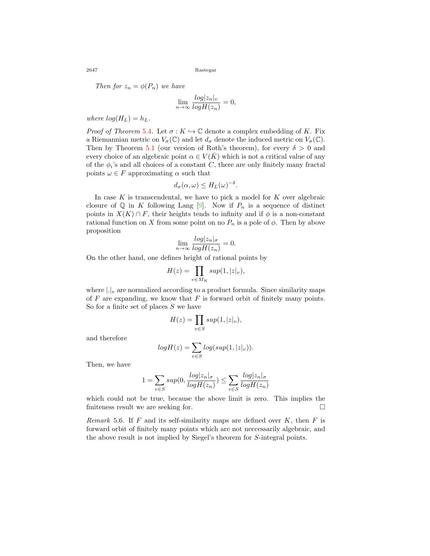*Then for*  $z_n = \phi(P_n)$  *we have* 

$$
\lim_{n \to \infty} \frac{\log |z_n|_v}{\log H(z_n)} = 0,
$$

*where*  $log(H_L) = h_L$ *.* 

*Proof of Theorem* [5.4](#page-12-0). Let  $\sigma : K \hookrightarrow \mathbb{C}$  denote a complex embedding of K. Fix a Riemannian metric on  $V_{\sigma}(\mathbb{C})$  and let  $d_{\sigma}$  denote the induced metric on  $V_{\sigma}(\mathbb{C})$ . Then by Theorem [5.1](#page-11-1) (our version of Roth's theorem), for every  $\delta > 0$  and every choice of an algebraic point  $\alpha \in V(\overline{K})$  which is not a critical value of any of the  $\phi_i$ 's and all choices of a constant  $C$ , there are only finitely many fractal points  $\omega \in F$  approximating  $\alpha$  such that

$$
d_{\sigma}(\alpha,\omega) \leq H_L(\omega)^{-\delta}.
$$

In case  $K$  is transcendental, we have to pick a model for  $K$  over algebraic closureof  $\mathbb Q$  in *K* following Lang  $[9]$  $[9]$ . Now if  $P_n$  is a sequence of distinct points in  $X(K) \cap F$ , their heights tends to infinity and if  $\phi$  is a non-constant rational function on *X* from some point on no  $P_n$  is a pole of  $\phi$ . Then by above proposition

$$
\lim_{n \to \infty} \frac{\log |z_n|_{\sigma}}{\log H(z_n)} = 0.
$$

On the other hand, one defines height of rational points by

$$
H(z) = \prod_{v \in M_K} sup(1, |z|_v),
$$

where  $|.|_v$  are normalized according to a product formula. Since similarity maps of *F* are expanding, we know that *F* is forward orbit of finitely many points. So for a finite set of places *S* we have

$$
H(z) = \prod_{v \in S} sup(1, |z|_v),
$$

and therefore

$$
log H(z) = \sum_{v \in S} log(sup(1, |z|_v)).
$$

Then, we have

$$
1 = \sum_{v \in S} sup(0, \frac{\log |z_n|_{\sigma}}{\log H(z_n)}) \le \sum_{v \in S} \frac{\log |z_n|_{\sigma}}{\log H(z_n)}
$$

which could not be true, because the above limit is zero. This implies the finiteness result we are seeking for. □

*Remark* 5.6*.* If *F* and its self-similarity maps are defined over *K*, then *F* is forward orbit of finitely many points which are not neccessarily algebraic, and the above result is not implied by Siegel's theorem for *S*-integral points.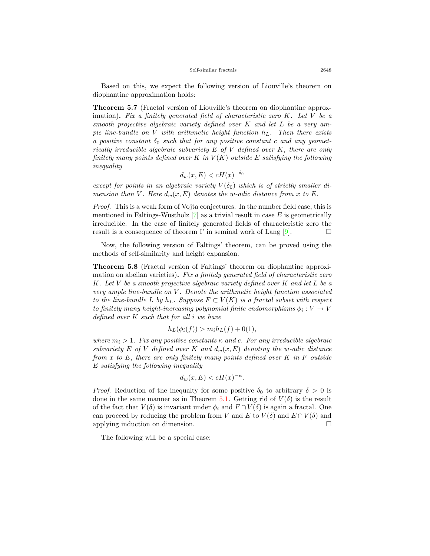Based on this, we expect the following version of Liouville's theorem on diophantine approximation holds:

**Theorem 5.7** (Fractal version of Liouville's theorem on diophantine approximation)**.** *Fix a finitely generated field of characteristic zero K. Let V be a smooth projective algebraic variety defined over K and let L be a very ample line-bundle on V with arithmetic height function hL. Then there exists a positive constant*  $\delta_0$  *such that for any positive constant c and any geometrically irreducible algebraic subvariety E of V defined over K, there are only finitely many points defined over*  $K$  *in*  $V(K)$  *outside*  $E$  *satisfying the following inequality*

$$
d_w(x, E) < cH(x)^{-\delta_0}
$$

*except for points in an algebraic variety*  $V(\delta_0)$  which is of strictly smaller di*mension than*  $V$ *. Here*  $d_w(x, E)$  *denotes the w*-adic distance from *x* to  $E$ *.* 

*Proof.* This is a weak form of Vojta conjectures. In the number field case, this is mentioned in Faltings-Wustholz [\[7](#page-18-13)] as a trivial result in case *E* is geometrically irreducible. In the case of finitely generated fields of characteristic zero the result is a consequence of theorem I' in seminal work of Lang  $[9]$ .  $\Box$ 

Now, the following version of Faltings' theorem, can be proved using the methods of self-similarity and height expansion.

**Theorem 5.8** (Fractal version of Faltings' theorem on diophantine approximation on abelian varieties)**.** *Fix a finitely generated field of characteristic zero K. Let V be a smooth projective algebraic variety defined over K and let L be a very ample line-bundle on V . Denote the arithmetic height function associated to the line-bundle*  $L$  *by*  $h_L$ *. Suppose*  $F \subset V(K)$  *is a fractal subset with respect to finitely many height-increasing polynomial finite endomorphisms*  $\phi_i: V \to V$ *defined over K such that for all i we have*

$$
h_L(\phi_i(f)) > m_i h_L(f) + 0(1),
$$

*where*  $m_i > 1$ *. Fix any positive constants*  $\kappa$  *and c. For any irreducible algebraic subvariety*  $E$  *of*  $V$  *defined over*  $K$  *and*  $d_w(x, E)$  *denoting* the *w*-adic distance *from x to E, there are only finitely many points defined over K in F outside E satisfying the following inequality*

$$
d_w(x, E) < cH(x)^{-\kappa}.
$$

*Proof.* Reduction of the inequalty for some positive  $\delta_0$  to arbitrary  $\delta > 0$  is done in the same manner as in Theorem [5.1](#page-11-1). Getting rid of  $V(\delta)$  is the result of the fact that  $V(\delta)$  is invariant under  $\phi_i$  and  $F \cap V(\delta)$  is again a fractal. One can proceed by reducing the problem from *V* and *E* to  $V(\delta)$  and  $E \cap V(\delta)$  and applying induction on dimension. □

The following will be a special case: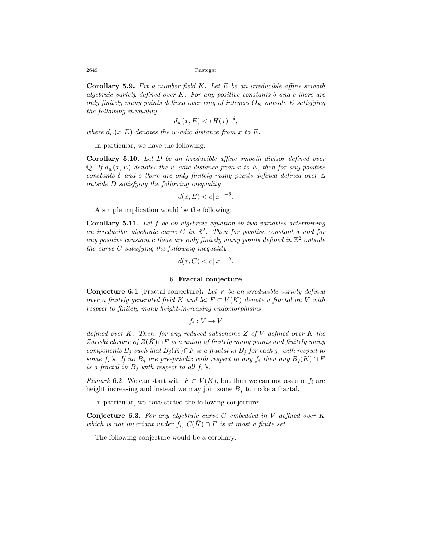**Corollary 5.9.** *Fix a number field K. Let E be an irreducible affine smooth algebraic variety defined over K. For any positive constants δ and c there are only finitely many points defined over ring of integers*  $O_K$  *outside*  $E$  *satisfying the following inequality*

$$
d_w(x, E) < cH(x)^{-\delta},
$$

*where*  $d_w(x, E)$  *denotes the w-adic distance from x to E.* 

In particular, we have the following:

**Corollary 5.10.** *Let D be an irreducible affine smooth divisor defined over* Q. If  $d_w(x, E)$  denotes the *w*-adic distance from *x* to E, then for any positive *constants δ and c there are only finitely many points defined defined over* Z *outside D satisfying the following inequality*

$$
d(x, E) < c||x||^{-\delta}.
$$

A simple implication would be the following:

**Corollary 5.11.** *Let f be an algebraic equation in two variables determining an irreducible algebraic curve*  $C$  *in*  $\mathbb{R}^2$ *. Then for positive constant*  $\delta$  *and for* any positive constant  $c$  there are only finitely many points defined in  $\mathbb{Z}^2$  outside *the curve C satisfying the following inequality*

$$
d(x, C) < c||x||^{-\delta}.
$$

## 6. **Fractal conjecture**

<span id="page-15-0"></span>**Conjecture 6.1** (Fractal conjecture)**.** *Let V be an irreducible variety defined over a finitely generated field K* and let  $F \subset V(K)$  denote a fractal on V with *respect to finitely many height-increasing endomorphisms*

$$
f_i: V \to V
$$

*defined over K. Then, for any reduced subscheme Z of V defined over K the Zariski closure of*  $Z(K) \cap F$  *is a union of finitely many points and finitely many components*  $B_j$  *such that*  $B_j(K) \cap F$  *is a fractal in*  $B_j$  *for each j, with respect to some*  $f_i$ 's. If no  $B_j$  are pre-priodic with respect to any  $f_i$  then any  $B_j(K) \cap F$ *is a fractal in*  $B_i$  *with respect to all*  $f_i$ *'s.* 

*Remark* 6.2. We can start with  $F \subset V(\overline{K})$ , but then we can not assume  $f_i$  are height increasing and instead we may join some  $B_j$  to make a fractal.

In particular, we have stated the following conjecture:

**Conjecture 6.3.** *For any algebraic curve C embedded in V defined over K which is not invariant under*  $f_i$ ,  $C(K) \cap F$  *is at most a finite set.* 

The following conjecture would be a corollary: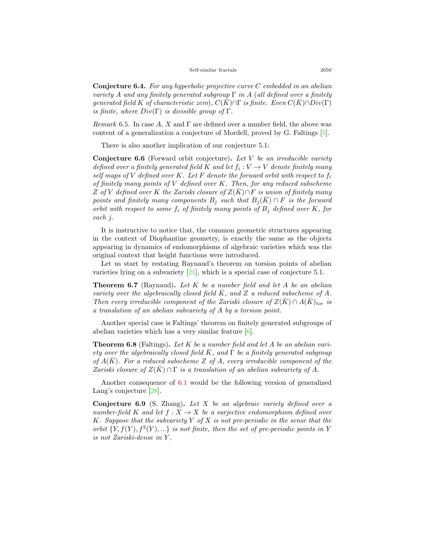**Conjecture 6.4.** *For any hyperbolic projective curve C embedded in an abelian variety A and any finitely generated subgroup* Γ *in A* (*all defined over a finitely generated field K of characteristic zero*),  $C(K) \cap \Gamma$  *is finite. Even*  $C(K) \cap Div(\Gamma)$ *is finite, where*  $Div(\Gamma)$  *is divisible group of*  $\Gamma$ *.* 

*Remark* 6.5*.* In case *A*, *X* and Γ are defined over a number field, the above was content of a generalization a conjecture of Mordell, proved by G. Faltings[[5\]](#page-18-14).

There is also another implication of our conjecture 5.1:

**Conjecture 6.6** (Forward orbit conjecture)**.** *Let V be an irreducible variety defined over a finitely generated field*  $K$  *and let*  $f_i: V \to V$  *denote finitely many self maps of*  $V$  *defined over*  $K$ *. Let*  $F$  *denote the forward orbit with respect to*  $f_i$ *of finitely many points of V defined over K. Then, for any reduced subscheme*  $Z$  *of*  $V$  *defined over*  $K$  *the Zariski closure of*  $Z(K) \cap F$  *is union of finitely many points and finitely many components*  $B_j$  *such that*  $B_j(K) \cap F$  *is the forward orbit with respect to some*  $f_i$  *of finitely many points of*  $B_i$  *defined over*  $K$ *, for each j.*

It is instructive to notice that, the common geometric structures appearing in the context of Diophantine geometry, is exactly the same as the objects appearing in dynamics of endomorphisms of algebraic varieties which was the original context that height functions were introduced.

Let us start by restating Raynaud's theorem on torsion points of abelian varieties lying on a subvariety  $[21]$ , which is a special case of conjecture 5.1.

**Theorem 6.7** (Raynaud)**.** *Let K be a number field and let A be an abelian variety over the algebraically closed field*  $\overline{K}$ *, and*  $\overline{Z}$  *a reduced subscheme of*  $\overline{A}$ *. Then every irreducible component of the Zariski closure of*  $Z(K) \cap A(K)_{tor}$  *is a translation of an abelian subvariety of A by a torsion point.*

Another special case is Faltings' theorem on finitely generated subgroups of abelian varieties which has a very similar feature [\[6](#page-18-0)].

**Theorem 6.8** (Faltings)**.** *Let K be a number field and let A be an abelian variety over the algebraically closed field*  $\bar{K}$ , and  $\Gamma$  *be a finitely generated subgroup*  $\alpha$  *of*  $A(K)$ *. For a reduced subscheme Z of A, every irreducible component of the Zariski closure of*  $Z(\overline{K}) \cap \Gamma$  *is a translation of an abelian subvariety of* A.

Another consequence of [6.1](#page-15-0) would be the following version of generalized Lang'sconjecture [[28](#page-19-8)].

**Conjecture 6.9** (S. Zhang)**.** *Let X be an algebraic variety defined over a number-field*  $K$  *and let*  $f: X \to X$  *be a surjective endomorphism defined over K. Suppose that the subvariety Y of X is not pre-periodic in the sense that the orbit*  $\{Y, f(Y), f^2(Y), ...\}$  *is not finite, then the set of pre-periodic points in Y is not Zariski-dense in Y .*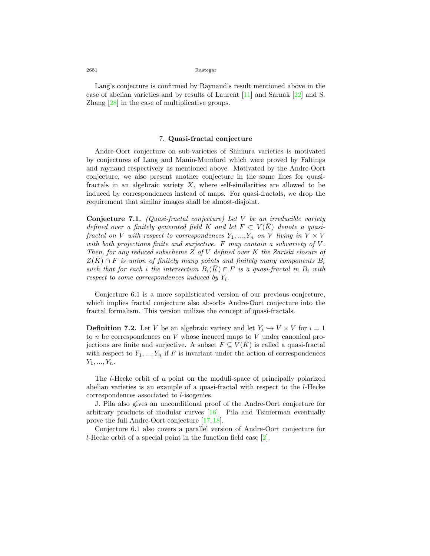Lang's conjecture is confirmed by Raynaud's result mentioned above in the case of abelian varieties and by results of Laurent[[11\]](#page-18-15) and Sarnak [\[22](#page-19-9)] and S. Zhang [\[28](#page-19-8)] in the case of multiplicative groups.

## 7. **Quasi-fractal conjecture**

Andre-Oort conjecture on sub-varieties of Shimura varieties is motivated by conjectures of Lang and Manin-Mumford which were proved by Faltings and raynaud respectively as mentioned above. Motivated by the Andre-Oort conjecture, we also present another conjecture in the same lines for quasifractals in an algebraic variety *X*, where self-similarities are allowed to be induced by correspondences instead of maps. For quasi-fractals, we drop the requirement that similar images shall be almost-disjoint.

**Conjecture 7.1.** *(Quasi-fractal conjecture) Let V be an irreducible variety defined over a finitely generated field K* and let  $F \subset V(\overline{K})$  denote a quasi*fractal on V with respect to correspondences*  $Y_1, ..., Y_n$  *on V living in*  $V \times V$ *with both projections finite and surjective. F may contain a subvariety of V . Then, for any reduced subscheme Z of V defined over K the Zariski closure of*  $Z(K) \cap F$  *is union of finitely many points and finitely many components*  $B_i$ *such that for each i the intersection*  $B_i(K) \cap F$  *is a quasi-fractal in*  $B_i$  *with respect to some correspondences induced by Yi.*

Conjecture 6.1 is a more sophisticated version of our previous conjecture, which implies fractal conjecture also absorbs Andre-Oort conjecture into the fractal formalism. This version utilizes the concept of quasi-fractals.

**Definition 7.2.** Let *V* be an algebraic variety and let  $Y_i \hookrightarrow V \times V$  for  $i = 1$ to *n* be correspondences on *V* whose incuced maps to *V* under canonical projections are finite and surjective. A subset  $F \subseteq V(\overline{K})$  is called a quasi-fractal with respect to  $Y_1, ..., Y_n$  if  $F$  is invariant under the action of correspondences *Y*1*, ..., Yn*.

The *l*-Hecke orbit of a point on the moduli-space of principally polarized abelian varieties is an example of a quasi-fractal with respect to the *l*-Hecke correspondences associated to *l*-isogenies.

J. Pila also gives an unconditional proof of the Andre-Oort conjecture for arbitrary products of modular curves[[16\]](#page-18-16). Pila and Tsimerman eventually prove the full Andre-Oort conjecture [\[17](#page-18-1), [18](#page-18-2)].

Conjecture 6.1 also covers a parallel version of Andre-Oort conjecture for *l*-Hecke orbit of a special point in the function field case[[2](#page-18-17)].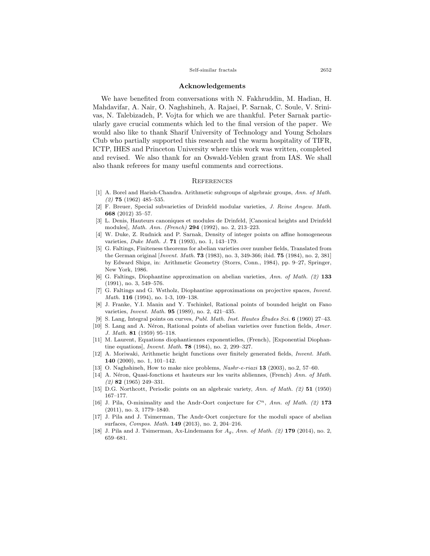#### Self-similar fractals 2652

#### **Acknowledgements**

We have benefited from conversations with N. Fakhruddin, M. Hadian, H. Mahdavifar, A. Nair, O. Naghshineh, A. Rajaei, P. Sarnak, C. Soule, V. Srinivas, N. Talebizadeh, P. Vojta for which we are thankful. Peter Sarnak particularly gave crucial comments which led to the final version of the paper. We would also like to thank Sharif University of Technology and Young Scholars Club who partially supported this research and the warm hospitality of TIFR, ICTP, IHES and Princeton University where this work was written, completed and revised. We also thank for an Oswald-Veblen grant from IAS. We shall also thank referees for many useful comments and corrections.

## **REFERENCES**

- <span id="page-18-4"></span>[1] A. Borel and Harish-Chandra. Arithmetic subgroups of algebraic groups, *Ann. of Math. (2)* **75** (1962) 485–535.
- <span id="page-18-17"></span>[2] F. Breuer, Special subvarieties of Drinfeld modular varieties, *J. Reine Angew. Math.* **668** (2012) 35–57.
- <span id="page-18-10"></span>[3] L. Denis, Hauteurs canoniques et modules de Drinfeld, [Canonical heights and Drinfeld modules], *Math. Ann. (French)* **294** (1992), no. 2, 213–223.
- <span id="page-18-5"></span>[4] W. Duke, Z. Rudnick and P. Sarnak, Density of integer points on affine homogeneous varieties, *Duke Math. J.* **71** (1993), no. 1, 143–179.
- <span id="page-18-14"></span>[5] G. Faltings, Finiteness theorems for abelian varieties over number fields, Translated from the German original [*Invent. Math.* **73** (1983), no. 3, 349-366; ibid. **75** (1984), no. 2, 381] by Edward Shipz, in: Arithmetic Geometry (Storrs, Conn., 1984), pp. 9–27, Springer, New York, 1986.
- <span id="page-18-0"></span>[6] G. Faltings, Diophantine approximation on abelian varieties, *Ann. of Math. (2)* **133** (1991), no. 3, 549–576.
- <span id="page-18-13"></span>[7] G. Faltings and G. Wstholz, Diophantine approximations on projective spaces, *Invent. Math.* **116** (1994), no. 1-3, 109–138.
- <span id="page-18-8"></span>[8] J. Franke, Y.I. Manin and Y. Tschinkel, Rational points of bounded height on Fano varieties, *Invent. Math.* **95** (1989), no. 2, 421–435.
- <span id="page-18-11"></span>[9] S. Lang, Integral points on curves, *Publ. Math. Inst. Hautes Etudes Sci. ´* **6** (1960) 27–43.
- <span id="page-18-7"></span>[10] S. Lang and A. Néron, Rational points of abelian varieties over function fields, *Amer. J. Math.* **81** (1959) 95–118.
- <span id="page-18-15"></span>[11] M. Laurent, Equations diophantiennes exponentielles, (French), [Exponential Diophantine equations], *Invent. Math.* **78** (1984), no. 2, 299–327.
- <span id="page-18-12"></span>[12] A. Moriwaki, Arithmetic height functions over finitely generated fields, *Invent. Math.* **140** (2000), no. 1, 101–142.
- <span id="page-18-3"></span>[13] O. Naghshineh, How to make nice problems, *Nashr-e-riazi* **13** (2003), no.2, 57–60.
- <span id="page-18-9"></span>[14] A. Néron, Quasi-fonctions et hauteurs sur les varits abliennes, (French) *Ann. of Math. (2)* **82** (1965) 249–331.
- <span id="page-18-6"></span>[15] D.G. Northcott, Periodic points on an algebraic variety, *Ann. of Math. (2)* **51** (1950) 167–177.
- <span id="page-18-16"></span>[16] J. Pila, O-minimality and the Andr-Oort conjecture for *Cn*, *Ann. of Math. (2)* **173** (2011), no. 3, 1779–1840.
- <span id="page-18-1"></span>[17] J. Pila and J. Tsimerman, The Andr-Oort conjecture for the moduli space of abelian surfaces, *Compos. Math.* **149** (2013), no. 2, 204–216.
- <span id="page-18-2"></span>[18] J. Pila and J. Tsimerman, Ax-Lindemann for *Ag*, *Ann. of Math. (2)* **179** (2014), no. 2, 659–681.